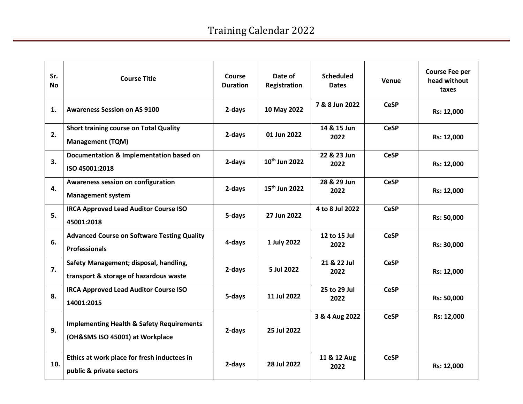| Sr.<br><b>No</b> | <b>Course Title</b>                                                                     | Course<br><b>Duration</b> | Date of<br>Registration   | <b>Scheduled</b><br><b>Dates</b> | Venue       | <b>Course Fee per</b><br>head without<br>taxes |
|------------------|-----------------------------------------------------------------------------------------|---------------------------|---------------------------|----------------------------------|-------------|------------------------------------------------|
| 1.               | <b>Awareness Session on AS 9100</b>                                                     | 2-days                    | 10 May 2022               | 7 & 8 Jun 2022                   | <b>CeSP</b> | Rs: 12,000                                     |
| 2.               | <b>Short training course on Total Quality</b><br><b>Management (TQM)</b>                | 2-days                    | 01 Jun 2022               | 14 & 15 Jun<br>2022              | <b>CeSP</b> | Rs: 12,000                                     |
| 3.               | Documentation & Implementation based on<br>ISO 45001:2018                               | 2-days                    | 10 <sup>th</sup> Jun 2022 | 22 & 23 Jun<br>2022              | <b>CeSP</b> | Rs: 12,000                                     |
| 4.               | Awareness session on configuration<br><b>Management system</b>                          | 2-days                    | 15 <sup>th</sup> Jun 2022 | 28 & 29 Jun<br>2022              | <b>CeSP</b> | Rs: 12,000                                     |
| 5.               | <b>IRCA Approved Lead Auditor Course ISO</b><br>45001:2018                              | 5-days                    | 27 Jun 2022               | 4 to 8 Jul 2022                  | <b>CeSP</b> | Rs: 50,000                                     |
| 6.               | <b>Advanced Course on Software Testing Quality</b><br><b>Professionals</b>              | 4-days                    | 1 July 2022               | 12 to 15 Jul<br>2022             | <b>CeSP</b> | Rs: 30,000                                     |
| 7.               | Safety Management; disposal, handling,<br>transport & storage of hazardous waste        | 2-days                    | 5 Jul 2022                | 21 & 22 Jul<br>2022              | <b>CeSP</b> | Rs: 12,000                                     |
| 8.               | <b>IRCA Approved Lead Auditor Course ISO</b><br>14001:2015                              | 5-days                    | 11 Jul 2022               | 25 to 29 Jul<br>2022             | <b>CeSP</b> | Rs: 50,000                                     |
| 9.               | <b>Implementing Health &amp; Safety Requirements</b><br>(OH&SMS ISO 45001) at Workplace | 2-days                    | 25 Jul 2022               | 3 & 4 Aug 2022                   | <b>CeSP</b> | Rs: 12,000                                     |
| 10.              | Ethics at work place for fresh inductees in<br>public & private sectors                 | 2-days                    | 28 Jul 2022               | 11 & 12 Aug<br>2022              | <b>CeSP</b> | Rs: 12,000                                     |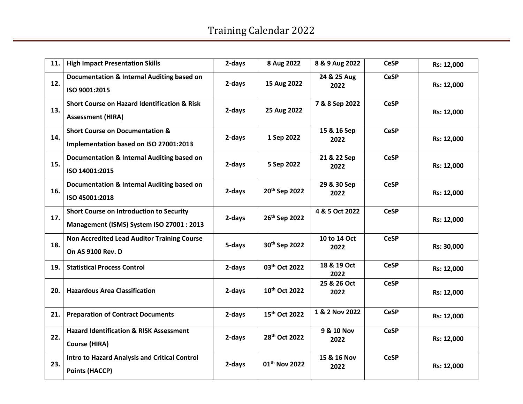| 11. | <b>High Impact Presentation Skills</b>                                                       | 2-days | 8 Aug 2022                | 8 & 9 Aug 2022       | <b>CeSP</b> | Rs: 12,000 |
|-----|----------------------------------------------------------------------------------------------|--------|---------------------------|----------------------|-------------|------------|
| 12. | Documentation & Internal Auditing based on<br>ISO 9001:2015                                  | 2-days | 15 Aug 2022               | 24 & 25 Aug<br>2022  | <b>CeSP</b> | Rs: 12,000 |
| 13. | <b>Short Course on Hazard Identification &amp; Risk</b><br><b>Assessment (HIRA)</b>          | 2-days | 25 Aug 2022               | 7 & 8 Sep 2022       | <b>CeSP</b> | Rs: 12,000 |
| 14. | <b>Short Course on Documentation &amp;</b><br>Implementation based on ISO 27001:2013         | 2-days | 1 Sep 2022                | 15 & 16 Sep<br>2022  | <b>CeSP</b> | Rs: 12,000 |
| 15. | Documentation & Internal Auditing based on<br>ISO 14001:2015                                 | 2-days | 5 Sep 2022                | 21 & 22 Sep<br>2022  | <b>CeSP</b> | Rs: 12,000 |
| 16. | Documentation & Internal Auditing based on<br>ISO 45001:2018                                 | 2-days | 20th Sep 2022             | 29 & 30 Sep<br>2022  | <b>CeSP</b> | Rs: 12,000 |
| 17. | <b>Short Course on Introduction to Security</b><br>Management (ISMS) System ISO 27001 : 2013 | 2-days | 26th Sep 2022             | 4 & 5 Oct 2022       | <b>CeSP</b> | Rs: 12,000 |
| 18. | <b>Non Accredited Lead Auditor Training Course</b><br>On AS 9100 Rev. D                      | 5-days | 30th Sep 2022             | 10 to 14 Oct<br>2022 | <b>CeSP</b> | Rs: 30,000 |
| 19. | <b>Statistical Process Control</b>                                                           | 2-days | 03 <sup>th</sup> Oct 2022 | 18 & 19 Oct<br>2022  | <b>CeSP</b> | Rs: 12,000 |
| 20. | <b>Hazardous Area Classification</b>                                                         | 2-days | 10th Oct 2022             | 25 & 26 Oct<br>2022  | <b>CeSP</b> | Rs: 12,000 |
| 21. | <b>Preparation of Contract Documents</b>                                                     | 2-days | 15th Oct 2022             | 1 & 2 Nov 2022       | <b>CeSP</b> | Rs: 12,000 |
| 22. | <b>Hazard Identification &amp; RISK Assessment</b><br><b>Course (HIRA)</b>                   | 2-days | 28 <sup>th</sup> Oct 2022 | 9 & 10 Nov<br>2022   | <b>CeSP</b> | Rs: 12,000 |
| 23. | Intro to Hazard Analysis and Critical Control<br><b>Points (HACCP)</b>                       | 2-days | 01 <sup>th</sup> Nov 2022 | 15 & 16 Nov<br>2022  | <b>CeSP</b> | Rs: 12,000 |